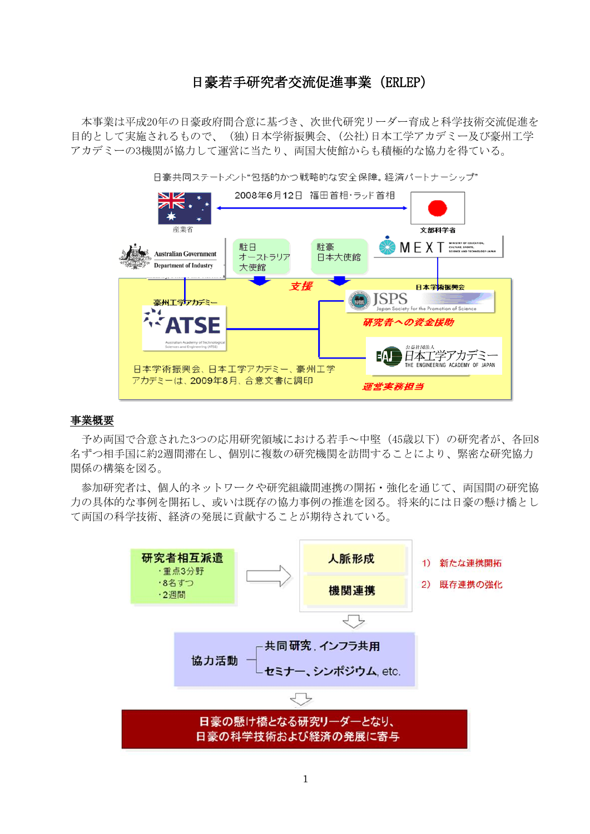# 日豪若手研究者交流促進事業(ERLEP)

本事業は平成20年の日豪政府間合意に基づき、次世代研究リーダー育成と科学技術交流促進を 目的として実施されるもので、 (独)日本学術振興会、(公社)日本工学アカデミー及び豪州工学 アカデミーの3機関が協力して運営に当たり、両国大使館からも積極的な協力を得ている。



日豪共同ステートメント"包括的かつ戦略的な安全保障。経済パートナーシップ"

## 事業概要

予め両国で合意された3つの応用研究領域における若手~中堅(45歳以下)の研究者が、各回8 名ずつ相手国に約2週間滞在し、個別に複数の研究機関を訪問することにより、緊密な研究協力 関係の構築を図る。

参加研究者は、個人的ネットワークや研究組織間連携の開拓・強化を通じて、両国間の研究協 力の具体的な事例を開拓し、或いは既存の協力事例の推進を図る。将来的には日豪の懸け橋とし て両国の科学技術、経済の発展に貢献することが期待されている。

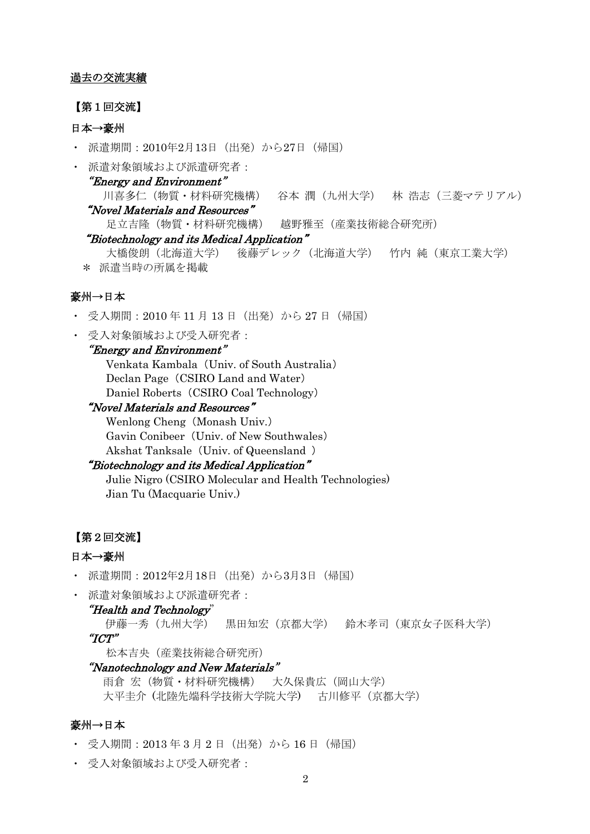### 過去の交流実績

### 【第1回交流】

# 日本→豪州

- ・ 派遣期間:2010年2月13日(出発)から27日(帰国)
- ・ 派遣対象領域および派遣研究者:

## "Energy and Environment"

 川喜多仁(物質・材料研究機構) 谷本 潤(九州大学) 林 浩志(三菱マテリアル) "Novel Materials and Resources"

足立吉隆(物質・材料研究機構) 越野雅至(産業技術総合研究所)

#### "Biotechnology and its Medical Application"

大橋俊朗(北海道大学) 後藤デレック(北海道大学) 竹内 純(東京工業大学) \* 派遣当時の所属を掲載

# 豪州→日本

- ・ 受入期間:2010 年 11 月 13 日(出発)から 27 日(帰国)
- ・ 受入対象領域および受入研究者:

## "Energy and Environment"

 Venkata Kambala (Univ. of South Australia) Declan Page (CSIRO Land and Water) Daniel Roberts (CSIRO Coal Technology)

## "Novel Materials and Resources"

 Wenlong Cheng (Monash Univ.) Gavin Conibeer (Univ. of New Southwales) Akshat Tanksale (Univ. of Queensland )

### "Biotechnology and its Medical Application"

Julie Nigro (CSIRO Molecular and Health Technologies) Jian Tu (Macquarie Univ.)

### 【第2回交流】

# 日本→豪州

- ・ 派遣期間:2012年2月18日(出発)から3月3日(帰国)
- ・ 派遣対象領域および派遣研究者:

#### "Health and Technology"

伊藤一秀(九州大学) 黒田知宏(京都大学) 鈴木孝司(東京女子医科大学) "ICT"

松本吉央(産業技術総合研究所)

## "Nanotechnology and New Materials"

雨倉 宏(物質・材料研究機構) 大久保貴広(岡山大学) 大平圭介 (北陸先端科学技術大学院大学) 古川修平(京都大学)

# 豪州→日本

- ・ 受入期間:2013 年 3 月 2 日(出発)から 16 日(帰国)
- ・ 受入対象領域および受入研究者: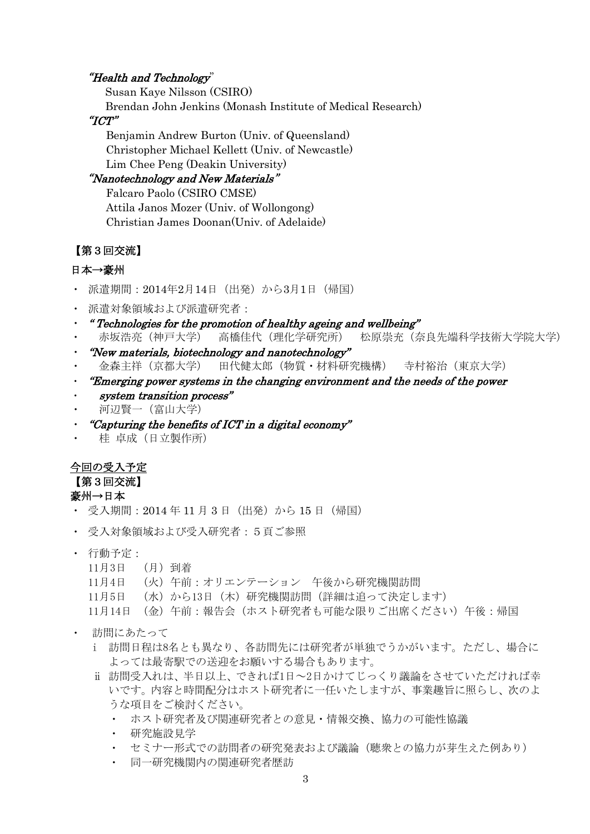## "Health and Technology"

Susan Kaye Nilsson (CSIRO)

Brendan John Jenkins (Monash Institute of Medical Research)

# "ICT"

Benjamin Andrew Burton (Univ. of Queensland) Christopher Michael Kellett (Univ. of Newcastle) Lim Chee Peng (Deakin University)

## "Nanotechnology and New Materials"

 Falcaro Paolo (CSIRO CMSE) Attila Janos Mozer (Univ. of Wollongong) Christian James Doonan(Univ. of Adelaide)

## 【第3回交流】

# 日本→豪州

- ・ 派遣期間:2014年2月14日(出発)から3月1日(帰国)
- ・ 派遣対象領域および派遣研究者:
- ・ " Technologies for the promotion of healthy ageing and wellbeing"
- ・ 赤坂浩亮(神戸大学) 高橋佳代(理化学研究所) 松原崇充(奈良先端科学技術大学院大学) ・ "New materials, biotechnology and nanotechnology"
- ・ 金森主祥(京都大学) 田代健太郎(物質・材料研究機構) 寺村裕治(東京大学)
- ・ "Emerging power systems in the changing environment and the needs of the power
- system transition process"
- 河辺賢一(富山大学)
- "Capturing the benefits of  $ICT$  in a digital economy"
- 桂 卓成(日立製作所)

# 今回の受入予定

【第3回交流】

## 豪州→日本

- ・ 受入期間:2014 年 11 月 3 日(出発)から 15 日(帰国)
- ・ 受入対象領域および受入研究者:5頁ご参照
- ・ 行動予定:
	- 11月3日 (月)到着
	- 11月4日 (火)午前:オリエンテーション 午後から研究機関訪問
	- 11月5日 (水)から13日 (木)研究機関訪問(詳細は追って決定します)
	- 11月14日 (金)午前:報告会(ホスト研究者も可能な限りご出席ください)午後:帰国
- ・ 訪問にあたって
	- i 訪問日程は8名とも異なり、各訪問先には研究者が単独でうかがいます。ただし、場合に よっては最寄駅での送迎をお願いする場合もあります。
	- ⅱ 訪問受入れは、半日以上、できれば1日~2日かけてじっくり議論をさせていただければ幸 いです。内容と時間配分はホスト研究者に一任いたしますが、事業趣旨に照らし、次のよ うな項目をご検討ください。
		- ・ ホスト研究者及び関連研究者との意見・情報交換、協力の可能性協議
		- ・ 研究施設見学
		- ・ セミナー形式での訪問者の研究発表および議論(聴衆との協力が芽生えた例あり)
		- 同一研究機関内の関連研究者歴訪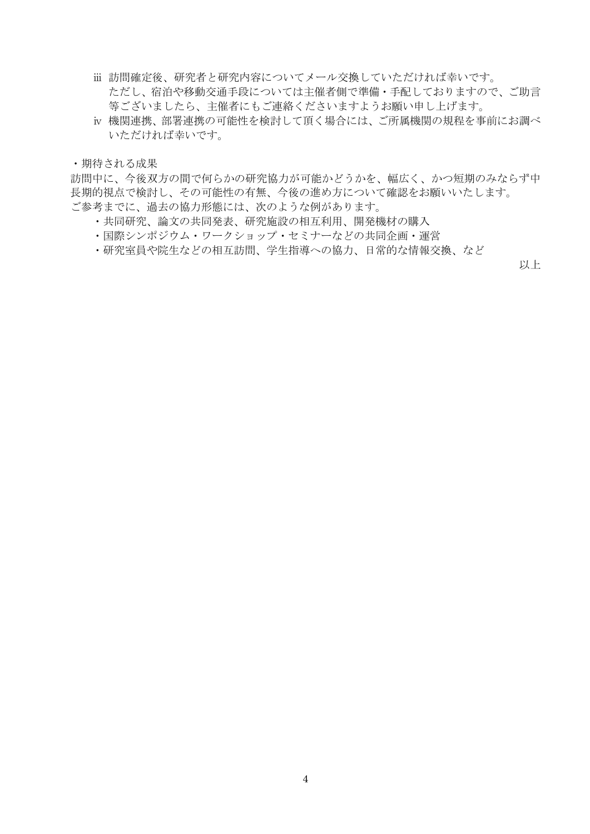- ⅲ 訪問確定後、研究者と研究内容についてメール交換していただければ幸いです。 ただし、宿泊や移動交通手段については主催者側で準備・手配しておりますので、ご助言 等ございましたら、主催者にもご連絡くださいますようお願い申し上げます。
- ⅳ 機関連携、部署連携の可能性を検討して頂く場合には、ご所属機関の規程を事前にお調べ いただければ幸いです。

・期待される成果

訪問中に、今後双方の間で何らかの研究協力が可能かどうかを、幅広く、かつ短期のみならず中 長期的視点で検討し、その可能性の有無、今後の進め方について確認をお願いいたします。 ご参考までに、過去の協力形態には、次のような例があります。

- ・共同研究、論文の共同発表、研究施設の相互利用、開発機材の購入
- ・国際シンポジウム・ワークショップ・セミナーなどの共同企画・運営
- ・研究室員や院生などの相互訪問、学生指導への協力、日常的な情報交換、など

以上